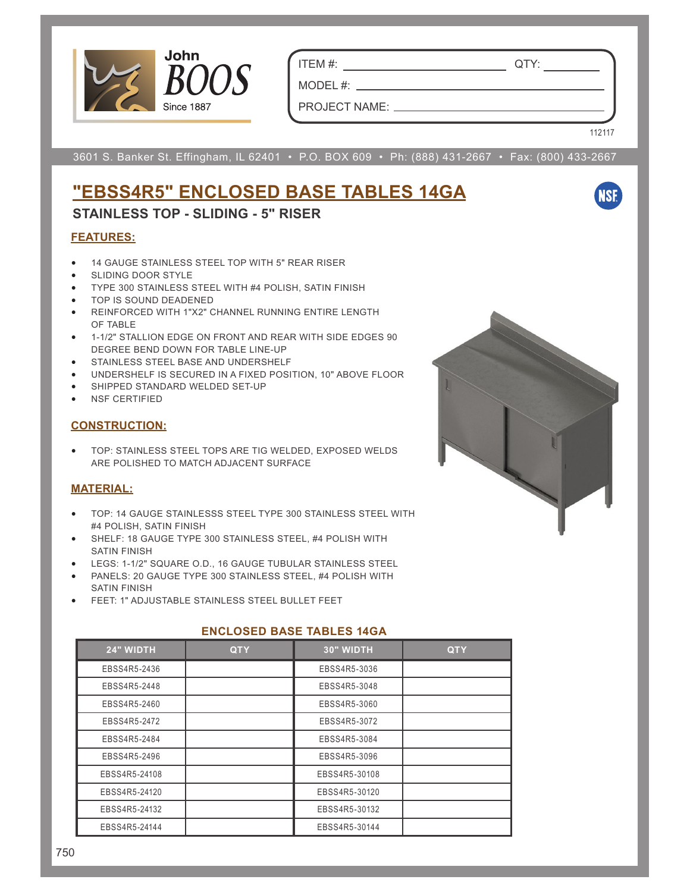

ITEM #: QTY:

MODEL #: PROJECT NAME:

112117

**NSF** 

3601 S. Banker St. Effingham, IL 62401 • P.O. BOX 609 • Ph: (888) 431-2667 • Fax: (800) 433-2667

# **"EBSS4R5" ENCLOSED BASE TABLES 14GA**

### **STAINLESS TOP - SLIDING - 5" RISER**

#### **FEATURES:**

- 14 GAUGE STAINLESS STEEL TOP WITH 5" REAR RISER
- SLIDING DOOR STYLE
- TYPE 300 STAINLESS STEEL WITH #4 POLISH, SATIN FINISH
- TOP IS SOUND DEADENED
- REINFORCED WITH 1"X2" CHANNEL RUNNING ENTIRE LENGTH OF TABLE
- 1-1/2" STALLION EDGE ON FRONT AND REAR WITH SIDE EDGES 90 DEGREE BEND DOWN FOR TABLE LINE-UP
- STAINLESS STEEL BASE AND UNDERSHELF
- UNDERSHELF IS SECURED IN A FIXED POSITION, 10" ABOVE FLOOR
- SHIPPED STANDARD WELDED SET-UP
- NSF CERTIFIED

#### **CONSTRUCTION:**

• TOP: STAINLESS STEEL TOPS ARE TIG WELDED, EXPOSED WELDS ARE POLISHED TO MATCH ADJACENT SURFACE

#### **MATERIAL:**

- TOP: 14 GAUGE STAINLESSS STEEL TYPE 300 STAINLESS STEEL WITH #4 POLISH, SATIN FINISH
- SHELF: 18 GAUGE TYPE 300 STAINLESS STEEL, #4 POLISH WITH SATIN FINISH
- LEGS: 1-1/2" SQUARE O.D., 16 GAUGE TUBULAR STAINLESS STEEL
- PANELS: 20 GAUGE TYPE 300 STAINLESS STEEL, #4 POLISH WITH SATIN FINISH
- FEET: 1" ADJUSTABLE STAINLESS STEEL BULLET FEET

### **24" WIDTH QTY 30" WIDTH QTY** EBSS4R5-2436 | EBSS4R5-3036 EBSS4R5-2448 EBSS4R5-3048 EBSS4R5-2460 EBSS4R5-3060 EBSS4R5-2472 EBSS4R5-3072 EBSS4R5-2484 EBSS4R5-3084 EBSS4R5-2496 | EBSS4R5-3096 EBSS4R5-24108 EBSS4R5-30108 EBSS4R5-24120 EBSS4R5-30120 EBSS4R5-24132 EBSS4R5-30132 EBSS4R5-24144 EBSS4R5-30144

#### **ENCLOSED BASE TABLES 14GA**